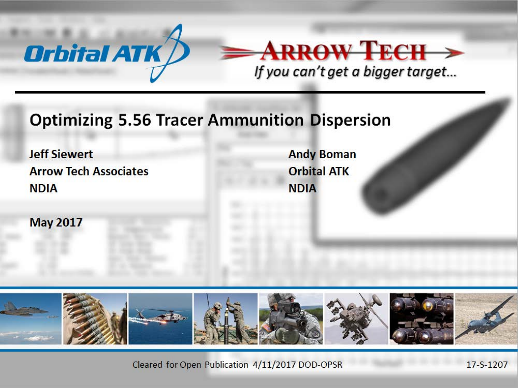



**Optimizing 5.56 Tracer Ammunition Dispersion** 

**Jeff Siewert Arrow Tech Associates NDIA** 

**Andy Boman Orbital ATK NDIA** 

**May 2017** 



Cleared for Open Publication 4/11/2017 DOD-OPSR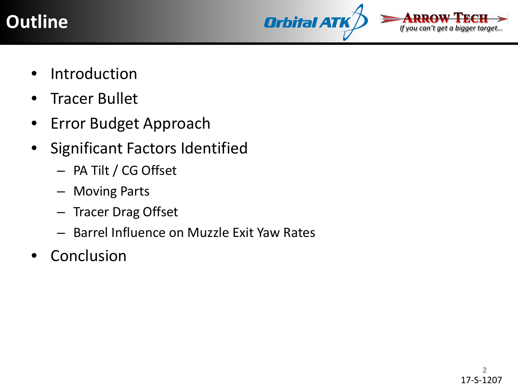



- **Introduction**
- Tracer Bullet
- Error Budget Approach
- Significant Factors Identified
	- PA Tilt / CG Offset
	- Moving Parts
	- Tracer Drag Offset
	- Barrel Influence on Muzzle Exit Yaw Rates
- **Conclusion**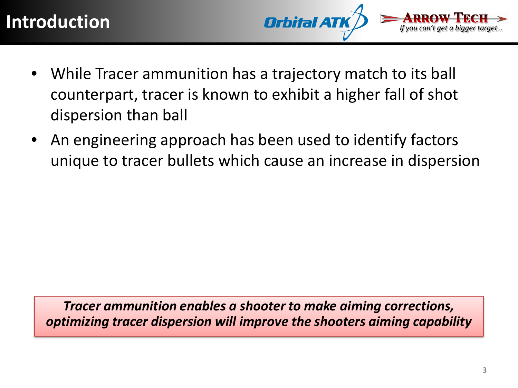

- While Tracer ammunition has a trajectory match to its ball counterpart, tracer is known to exhibit a higher fall of shot dispersion than ball
- An engineering approach has been used to identify factors unique to tracer bullets which cause an increase in dispersion

*Tracer ammunition enables a shooter to make aiming corrections, optimizing tracer dispersion will improve the shooters aiming capability*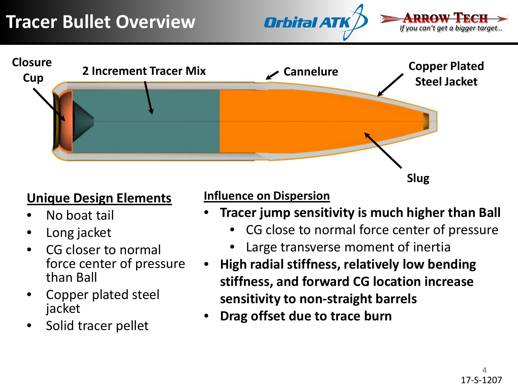



### **Unique Design Elements**

- No boat tail
- Long jacket
- CG closer to normal force center of pressure than Ball
- Copper plated steel jacket
- Solid tracer pellet

### **Influence on Dispersion**

- **Tracer jump sensitivity is much higher than Ball**
	- CG close to normal force center of pressure
	- Large transverse moment of inertia
- **High radial stiffness, relatively low bending stiffness, and forward CG location increase sensitivity to non-straight barrels**
- **Drag offset due to trace burn**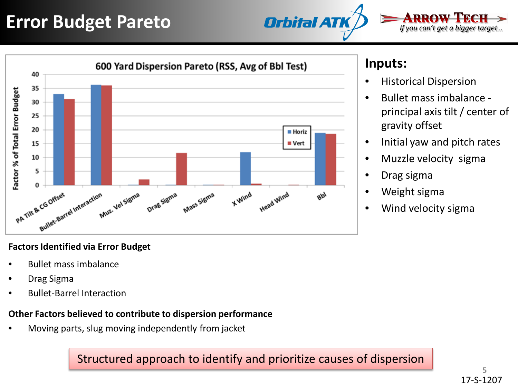## **Error Budget Pareto**



*If you can't get a bigger target…*



#### **Factors Identified via Error Budget**

- Bullet mass imbalance
- Drag Sigma
- Bullet-Barrel Interaction

#### **Other Factors believed to contribute to dispersion performance**

• Moving parts, slug moving independently from jacket

Structured approach to identify and prioritize causes of dispersion

### **Inputs:**

- Historical Dispersion
- Bullet mass imbalance principal axis tilt / center of gravity offset
- Initial yaw and pitch rates
- Muzzle velocity sigma
- Drag sigma
- Weight sigma
- Wind velocity sigma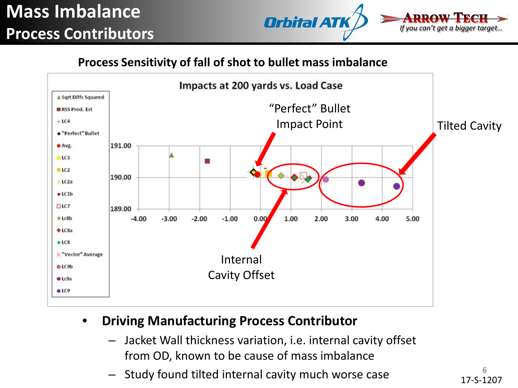## **Mass Imbalance Process Contributors**



#### **Process Sensitivity of fall of shot to bullet mass imbalance**



### • **Driving Manufacturing Process Contributor**

- Jacket Wall thickness variation, i.e. internal cavity offset from OD, known to be cause of mass imbalance
- Study found tilted internal cavity much worse case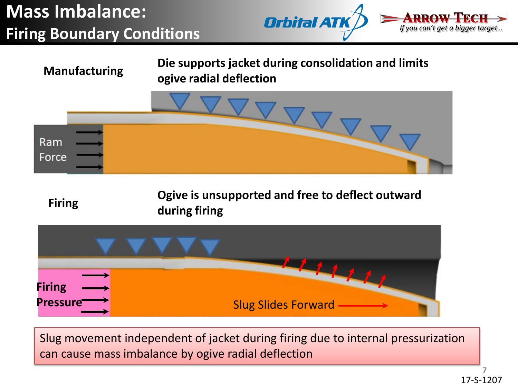## **Mass Imbalance: Firing Boundary Conditions**





Slug movement independent of jacket during firing due to internal pressurization can cause mass imbalance by ogive radial deflection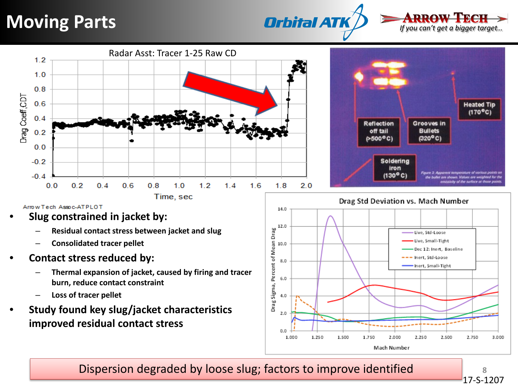### **Moving Parts**







Arrow Tech Assoc-ATPLOT

- **Slug constrained in jacket by:**
	- **Residual contact stress between jacket and slug**
	- **Consolidated tracer pellet**
- **Contact stress reduced by:**
	- **Thermal expansion of jacket, caused by firing and tracer burn, reduce contact constraint**
	- **Loss of tracer pellet**
- **Study found key slug/jacket characteristics improved residual contact stress**



Dispersion degraded by loose slug; factors to improve identified

**8** 17-S-1207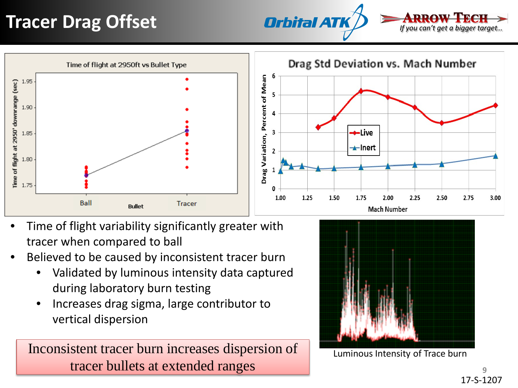# **Tracer Drag Offset**







- Time of flight variability significantly greater with tracer when compared to ball
- Believed to be caused by inconsistent tracer burn
	- Validated by luminous intensity data captured during laboratory burn testing
	- Increases drag sigma, large contributor to vertical dispersion

Inconsistent tracer burn increases dispersion of tracer bullets at extended ranges



Luminous Intensity of Trace burn

**9** 17-S-1207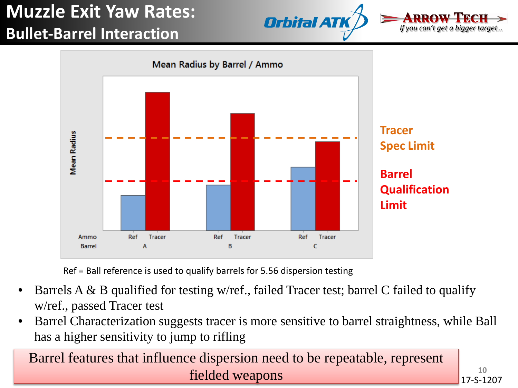## **Muzzle Exit Yaw Rates: Bullet-Barrel Interaction**







Ref = Ball reference is used to qualify barrels for 5.56 dispersion testing

- Barrels A & B qualified for testing w/ref., failed Tracer test; barrel C failed to qualify w/ref., passed Tracer test
- Barrel Characterization suggests tracer is more sensitive to barrel straightness, while Ball has a higher sensitivity to jump to rifling

Barrel features that influence dispersion need to be repeatable, represent fielded weapons

**10** 17-S-1207